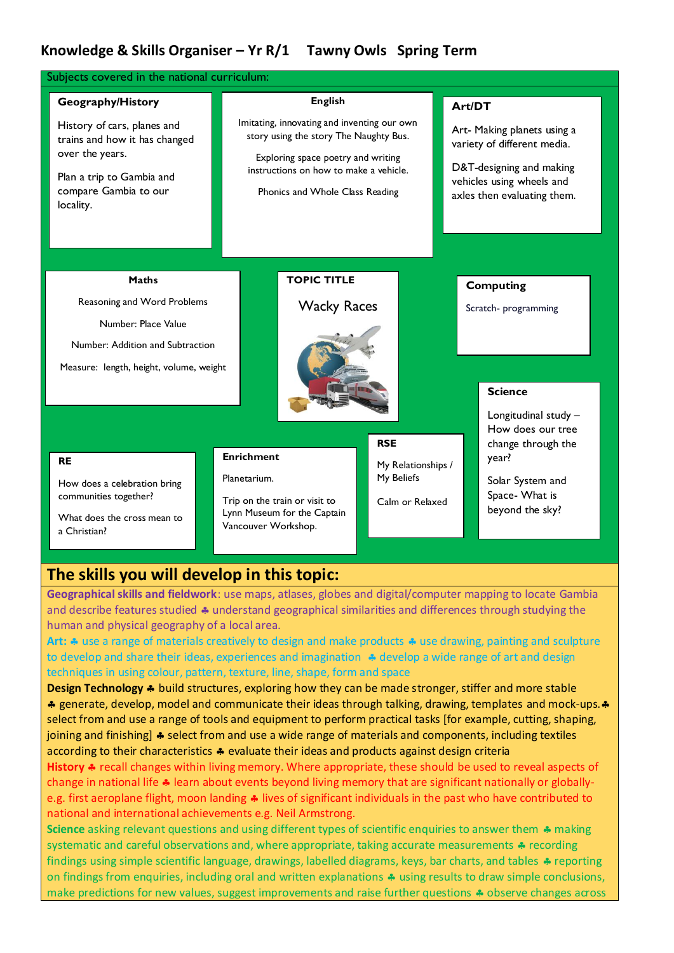### **Knowledge & Skills Organiser – Yr R/1 Tawny Owls Spring Term**

| Subjects covered in the national curriculum:                                                                                                                            |  |                                                                                                                                                                                                                            |                                                     |                                                                                                                                                              |
|-------------------------------------------------------------------------------------------------------------------------------------------------------------------------|--|----------------------------------------------------------------------------------------------------------------------------------------------------------------------------------------------------------------------------|-----------------------------------------------------|--------------------------------------------------------------------------------------------------------------------------------------------------------------|
| Geography/History<br>History of cars, planes and<br>trains and how it has changed<br>over the years.<br>Plan a trip to Gambia and<br>compare Gambia to our<br>locality. |  | <b>English</b><br>Imitating, innovating and inventing our own<br>story using the story The Naughty Bus.<br>Exploring space poetry and writing<br>instructions on how to make a vehicle.<br>Phonics and Whole Class Reading |                                                     | Art/DT<br>Art- Making planets using a<br>variety of different media.<br>D&T-designing and making<br>vehicles using wheels and<br>axles then evaluating them. |
| <b>Maths</b><br>Reasoning and Word Problems<br>Number: Place Value<br>Number: Addition and Subtraction<br>Measure: length, height, volume, weight                       |  | <b>TOPIC TITLE</b><br><b>Wacky Races</b>                                                                                                                                                                                   | <b>RSE</b>                                          | <b>Computing</b><br>Scratch- programming<br><b>Science</b><br>Longitudinal study -<br>How does our tree<br>change through the                                |
| <b>RE</b><br>How does a celebration bring<br>communities together?<br>What does the cross mean to<br>a Christian?                                                       |  | <b>Enrichment</b><br>Planetarium.<br>Trip on the train or visit to<br>Lynn Museum for the Captain<br>Vancouver Workshop.                                                                                                   | My Relationships /<br>My Beliefs<br>Calm or Relaxed | year?<br>Solar System and<br>Space- What is<br>beyond the sky?                                                                                               |

# **The skills you will develop in this topic:**

**Geographical skills and fieldwork**: use maps, atlases, globes and digital/computer mapping to locate Gambia and describe features studied  $\clubsuit$  understand geographical similarities and differences through studying the human and physical geography of a local area.

Art:  $\clubsuit$  use a range of materials creatively to design and make products  $\clubsuit$  use drawing, painting and sculpture to develop and share their ideas, experiences and imagination  $\clubsuit$  develop a wide range of art and design techniques in using colour, pattern, texture, line, shape, form and space

**Design Technology \*** build structures, exploring how they can be made stronger, stiffer and more stable \* generate, develop, model and communicate their ideas through talking, drawing, templates and mock-ups. \* select from and use a range of tools and equipment to perform practical tasks [for example, cutting, shaping, joining and finishing]  $\clubsuit$  select from and use a wide range of materials and components, including textiles according to their characteristics  $\clubsuit$  evaluate their ideas and products against design criteria

History  $\clubsuit$  recall changes within living memory. Where appropriate, these should be used to reveal aspects of change in national life  $\clubsuit$  learn about events beyond living memory that are significant nationally or globallye.g. first aeroplane flight, moon landing  $\clubsuit$  lives of significant individuals in the past who have contributed to national and international achievements e.g. Neil Armstrong.

**Science** asking relevant questions and using different types of scientific enquiries to answer them  $\clubsuit$  making systematic and careful observations and, where appropriate, taking accurate measurements  $\triangle$  recording findings using simple scientific language, drawings, labelled diagrams, keys, bar charts, and tables  $\clubsuit$  reporting on findings from enquiries, including oral and written explanations  $\clubsuit$  using results to draw simple conclusions, make predictions for new values, suggest improvements and raise further questions  $\clubsuit$  observe changes across